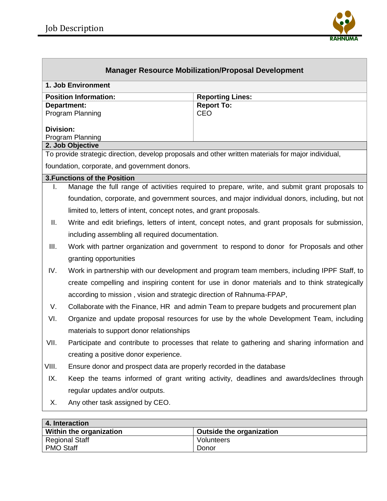Regional Staff PMO Staff



| <b>Manager Resource Mobilization/Proposal Development</b>                                           |                                                                                                 |                                                                                                |  |  |  |
|-----------------------------------------------------------------------------------------------------|-------------------------------------------------------------------------------------------------|------------------------------------------------------------------------------------------------|--|--|--|
| 1. Job Environment                                                                                  |                                                                                                 |                                                                                                |  |  |  |
| <b>Position Information:</b>                                                                        |                                                                                                 | <b>Reporting Lines:</b>                                                                        |  |  |  |
| <b>Department:</b><br>Program Planning                                                              |                                                                                                 | <b>Report To:</b><br><b>CEO</b>                                                                |  |  |  |
|                                                                                                     |                                                                                                 |                                                                                                |  |  |  |
| <b>Division:</b>                                                                                    |                                                                                                 |                                                                                                |  |  |  |
| Program Planning<br>2. Job Objective                                                                |                                                                                                 |                                                                                                |  |  |  |
| To provide strategic direction, develop proposals and other written materials for major individual, |                                                                                                 |                                                                                                |  |  |  |
| foundation, corporate, and government donors.                                                       |                                                                                                 |                                                                                                |  |  |  |
|                                                                                                     | <b>3. Functions of the Position</b>                                                             |                                                                                                |  |  |  |
| L.                                                                                                  | Manage the full range of activities required to prepare, write, and submit grant proposals to   |                                                                                                |  |  |  |
|                                                                                                     |                                                                                                 | foundation, corporate, and government sources, and major individual donors, including, but not |  |  |  |
|                                                                                                     | limited to, letters of intent, concept notes, and grant proposals.                              |                                                                                                |  |  |  |
| Ш.                                                                                                  | Write and edit briefings, letters of intent, concept notes, and grant proposals for submission, |                                                                                                |  |  |  |
|                                                                                                     | including assembling all required documentation.                                                |                                                                                                |  |  |  |
| III.                                                                                                | Work with partner organization and government to respond to donor for Proposals and other       |                                                                                                |  |  |  |
|                                                                                                     | granting opportunities                                                                          |                                                                                                |  |  |  |
| IV.                                                                                                 | Work in partnership with our development and program team members, including IPPF Staff, to     |                                                                                                |  |  |  |
|                                                                                                     | create compelling and inspiring content for use in donor materials and to think strategically   |                                                                                                |  |  |  |
|                                                                                                     | according to mission, vision and strategic direction of Rahnuma-FPAP,                           |                                                                                                |  |  |  |
| V.                                                                                                  | Collaborate with the Finance, HR and admin Team to prepare budgets and procurement plan         |                                                                                                |  |  |  |
| VI.                                                                                                 | Organize and update proposal resources for use by the whole Development Team, including         |                                                                                                |  |  |  |
| materials to support donor relationships                                                            |                                                                                                 |                                                                                                |  |  |  |
| VII.                                                                                                | Participate and contribute to processes that relate to gathering and sharing information and    |                                                                                                |  |  |  |
|                                                                                                     | creating a positive donor experience.                                                           |                                                                                                |  |  |  |
| VIII.                                                                                               | Ensure donor and prospect data are properly recorded in the database                            |                                                                                                |  |  |  |
| IX.                                                                                                 | Keep the teams informed of grant writing activity, deadlines and awards/declines through        |                                                                                                |  |  |  |
| regular updates and/or outputs.                                                                     |                                                                                                 |                                                                                                |  |  |  |
| Х.                                                                                                  | Any other task assigned by CEO.                                                                 |                                                                                                |  |  |  |
|                                                                                                     |                                                                                                 |                                                                                                |  |  |  |
| 4. Interaction                                                                                      |                                                                                                 |                                                                                                |  |  |  |
|                                                                                                     | Within the organization                                                                         | <b>Outside the organization</b>                                                                |  |  |  |

Volunteers Donor